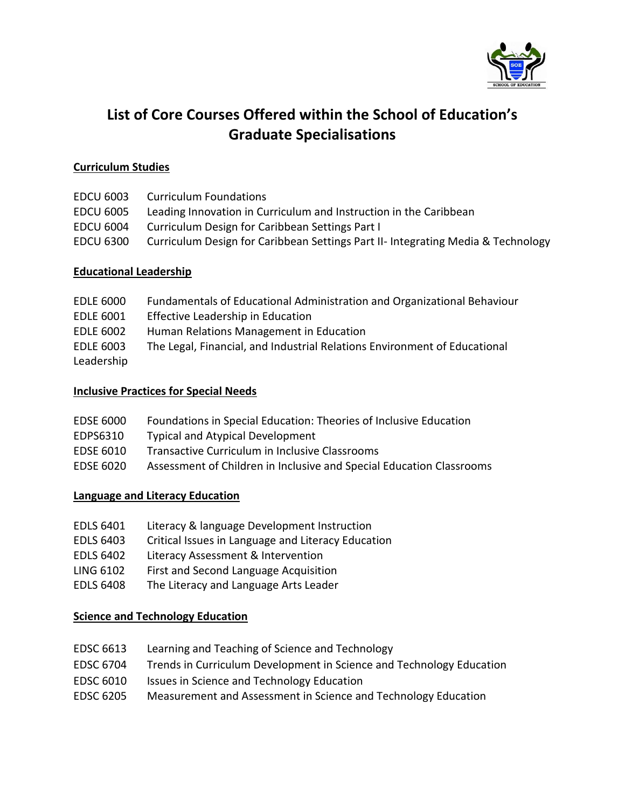

# **List of Core Courses Offered within the School of Education's Graduate Specialisations**

## **Curriculum Studies**

| <b>EDCU 6003</b> | <b>Curriculum Foundations</b>                                                    |
|------------------|----------------------------------------------------------------------------------|
| <b>EDCU 6005</b> | Leading Innovation in Curriculum and Instruction in the Caribbean                |
| <b>EDCU 6004</b> | Curriculum Design for Caribbean Settings Part I                                  |
| <b>EDCU 6300</b> | Curriculum Design for Caribbean Settings Part II- Integrating Media & Technology |
|                  |                                                                                  |

# **Educational Leadership**

| <b>EDLE 6000</b> | Fundamentals of Educational Administration and Organizational Behaviour   |
|------------------|---------------------------------------------------------------------------|
| <b>EDLE 6001</b> | Effective Leadership in Education                                         |
| <b>EDLE 6002</b> | Human Relations Management in Education                                   |
| <b>EDLE 6003</b> | The Legal, Financial, and Industrial Relations Environment of Educational |
| Leadership       |                                                                           |

## **Inclusive Practices for Special Needs**

| <b>EDSE 6000</b> | Foundations in Special Education: Theories of Inclusive Education    |
|------------------|----------------------------------------------------------------------|
| EDPS6310         | <b>Typical and Atypical Development</b>                              |
| EDSE 6010        | Transactive Curriculum in Inclusive Classrooms                       |
| EDSE 6020        | Assessment of Children in Inclusive and Special Education Classrooms |
|                  |                                                                      |

# **Language and Literacy Education**

- EDLS 6401 Literacy & language Development Instruction
- EDLS 6403 Critical Issues in Language and Literacy Education
- EDLS 6402 Literacy Assessment & Intervention
- LING 6102 First and Second Language Acquisition
- EDLS 6408 The Literacy and Language Arts Leader

## **Science and Technology Education**

- EDSC 6613 Learning and Teaching of Science and Technology
- EDSC 6704 Trends in Curriculum Development in Science and Technology Education
- EDSC 6010 Issues in Science and Technology Education
- EDSC 6205 Measurement and Assessment in Science and Technology Education